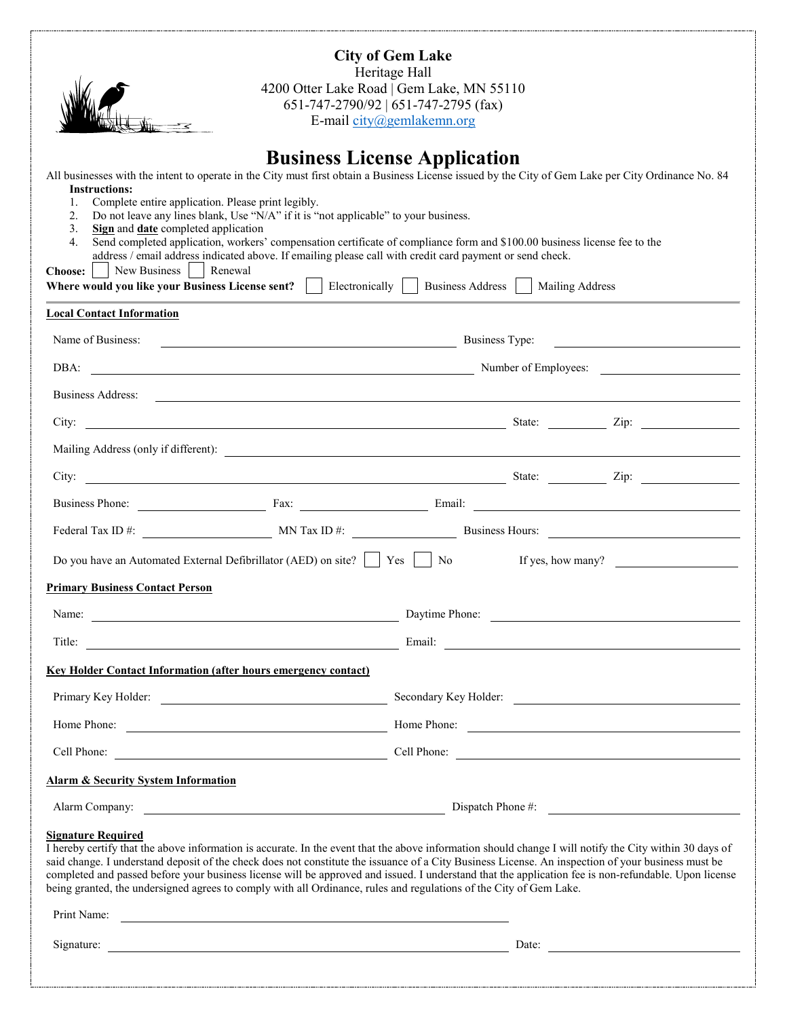

**City of Gem Lake** Heritage Hall 4200 Otter Lake Road | Gem Lake, MN 55110 651-747-2790/92 | 651-747-2795 (fax) E-mail [city@gemlakemn.org](mailto:city@gemlakemn.org)

# **Business License Application**

All businesses with the intent to operate in the City must first obtain a Business License issued by the City of Gem Lake per City Ordinance No. 84 **Instructions:**

- 1. Complete entire application. Please print legibly.
- 2. Do not leave any lines blank, Use "N/A" if it is "not applicable" to your business.
- 3. **Sign** and **date** completed application
- 4. Send completed application, workers' compensation certificate of compliance form and \$100.00 business license fee to the address / email address indicated above. If emailing please call with credit card payment or send check.

| Choose:   New Business   Renewal<br>Where would you like your Business License sent?   Electronically   Business Address   Mailing Address                                                                                                                                                                                                                                                                                                                                                         |                                                                                       |  |  |  |
|----------------------------------------------------------------------------------------------------------------------------------------------------------------------------------------------------------------------------------------------------------------------------------------------------------------------------------------------------------------------------------------------------------------------------------------------------------------------------------------------------|---------------------------------------------------------------------------------------|--|--|--|
| <b>Local Contact Information</b>                                                                                                                                                                                                                                                                                                                                                                                                                                                                   |                                                                                       |  |  |  |
| Name of Business:                                                                                                                                                                                                                                                                                                                                                                                                                                                                                  | Business Type:                                                                        |  |  |  |
| DBA:                                                                                                                                                                                                                                                                                                                                                                                                                                                                                               | Number of Employees:<br><u> 1989 - Johann Barn, fransk politik formuler (d. 1989)</u> |  |  |  |
| Business Address: <u>Communications</u> Contract the Contract of the Contract of the Contract of the Contract of the Contract of the Contract of the Contract of the Contract of the Contract of the Contract of the Contract of th                                                                                                                                                                                                                                                                |                                                                                       |  |  |  |
|                                                                                                                                                                                                                                                                                                                                                                                                                                                                                                    |                                                                                       |  |  |  |
|                                                                                                                                                                                                                                                                                                                                                                                                                                                                                                    |                                                                                       |  |  |  |
|                                                                                                                                                                                                                                                                                                                                                                                                                                                                                                    |                                                                                       |  |  |  |
| Business Phone: Fax: Fax: Email: Email:                                                                                                                                                                                                                                                                                                                                                                                                                                                            |                                                                                       |  |  |  |
| Federal Tax ID #: MN Tax ID #: Business Hours:                                                                                                                                                                                                                                                                                                                                                                                                                                                     |                                                                                       |  |  |  |
| Do you have an Automated External Defibrillator (AED) on site?<br>No If yes, how many?                                                                                                                                                                                                                                                                                                                                                                                                             |                                                                                       |  |  |  |
| <b>Primary Business Contact Person</b>                                                                                                                                                                                                                                                                                                                                                                                                                                                             |                                                                                       |  |  |  |
| Name: Daytime Phone: Daytime Phone:                                                                                                                                                                                                                                                                                                                                                                                                                                                                |                                                                                       |  |  |  |
| Title: Email: Email: Email: Email: Email: Email: Email: Email: Email: Email: Email: Email: Email: Email: Email: Email: Email: Email: Email: Email: Email: Email: Email: Email: Email: Email: Email: Email: Email: Email: Email                                                                                                                                                                                                                                                                     |                                                                                       |  |  |  |
| <b>Key Holder Contact Information (after hours emergency contact)</b>                                                                                                                                                                                                                                                                                                                                                                                                                              |                                                                                       |  |  |  |
| Primary Key Holder: Secondary Key Holder: Secondary Key Holder:                                                                                                                                                                                                                                                                                                                                                                                                                                    |                                                                                       |  |  |  |
| Home Phone: <u>None Phone:</u> Home Phone: None Phone: None Phone: None Phone: None Phone: None Phone: None Phone: None Phone: None Phone: None Phone: None Phone: None Phone: None Phone: None Phone: None Phone Phone: None Phone                                                                                                                                                                                                                                                                |                                                                                       |  |  |  |
| Cell Phone: Cell Phone: Cell Phone: Cell Phone: Cell Phone: Cell Phone: Cell Phone: Cell Phone: Cell Phone: Cell Phone: Cell Phone: Cell Phone: Cell Phone: Cell Phone: Cell Phone: Cell Phone: Cell Phone: Cell Phone: Cell P                                                                                                                                                                                                                                                                     |                                                                                       |  |  |  |
| <b>Alarm &amp; Security System Information</b>                                                                                                                                                                                                                                                                                                                                                                                                                                                     |                                                                                       |  |  |  |
|                                                                                                                                                                                                                                                                                                                                                                                                                                                                                                    |                                                                                       |  |  |  |
| <b>Signature Required</b><br>I hereby certify that the above information is accurate. In the event that the above information should change I will notify the City within 30 days of<br>said change. I understand deposit of the check does not constitute the issuance of a City Business License. An inspection of your business must be<br>completed and passed before your business license will be approved and issued. I understand that the application fee is non-refundable. Upon license |                                                                                       |  |  |  |

said change. I understand deposit of the check does not constitute the issuance of a City Business License. An inspection of your business must be being granted, the undersigned agrees to comply with all Ordinance, rules and regulations of the City of Gem Lake.

Print Name:

Signature: Date: